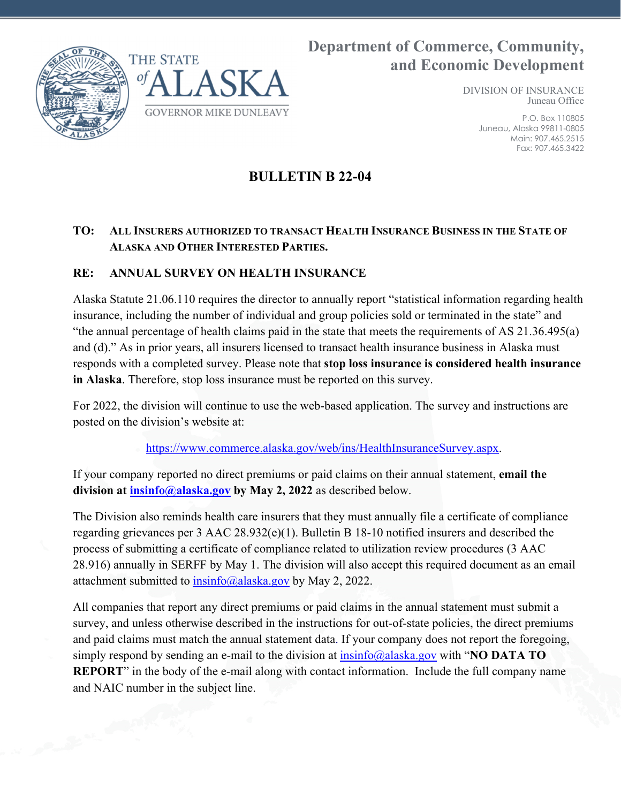

DIVISION OF INSURANCE Juneau Office

> P.O. Box 110805 Juneau, Alaska 99811-0805 Main: 907.465.2515 Fax: 907.465.3422

## **BULLETIN B 22-04**

## **TO: ALL INSURERS AUTHORIZED TO TRANSACT HEALTH INSURANCE BUSINESS IN THE STATE OF ALASKA AND OTHER INTERESTED PARTIES.**

## **RE: ANNUAL SURVEY ON HEALTH INSURANCE**

Alaska Statute 21.06.110 requires the director to annually report "statistical information regarding health insurance, including the number of individual and group policies sold or terminated in the state" and "the annual percentage of health claims paid in the state that meets the requirements of AS 21.36.495(a) and (d)." As in prior years, all insurers licensed to transact health insurance business in Alaska must responds with a completed survey. Please note that **stop loss insurance is considered health insurance in Alaska**. Therefore, stop loss insurance must be reported on this survey.

For 2022, the division will continue to use the web-based application. The survey and instructions are posted on the division's website at:

https://www.commerce.alaska.gov/web/ins/HealthInsuranceSurvey.aspx.

If your company reported no direct premiums or paid claims on their annual statement, **email the division at insinfo@alaska.gov by May 2, 2022** as described below.

The Division also reminds health care insurers that they must annually file a certificate of compliance regarding grievances per 3 AAC 28.932(e)(1). Bulletin B 18-10 notified insurers and described the process of submitting a certificate of compliance related to utilization review procedures (3 AAC 28.916) annually in SERFF by May 1. The division will also accept this required document as an email attachment submitted to insinfo@alaska.gov by May 2, 2022.

All companies that report any direct premiums or paid claims in the annual statement must submit a survey, and unless otherwise described in the instructions for out-of-state policies, the direct premiums and paid claims must match the annual statement data. If your company does not report the foregoing, simply respond by sending an e-mail to the division at insinfo@alaska.gov with "**NO DATA TO REPORT**" in the body of the e-mail along with contact information. Include the full company name and NAIC number in the subject line.